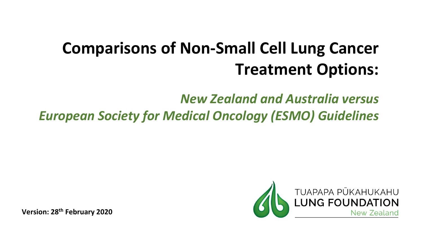# **Comparisons of Non-Small Cell Lung Cancer Treatment Options:**

*New Zealand and Australia versus European Society for Medical Oncology (ESMO) Guidelines*



**Version: 28th February 2020**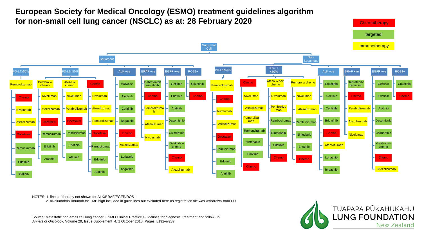

#### NOTES: 1. lines of therapy not shown for ALK/BRAF/EGFR/ROS1

2. nivolumab/ipilimumab for TMB high included in guidelines but excluded here as registration file was withdrawn from EU

Source: Metastatic non-small cell lung cancer: ESMO Clinical Practice Guidelines for diagnosis, treatment and follow-up, *Annals of Oncology*, Volume 29, Issue Supplement\_4, 1 October 2018, Pages iv192–iv237

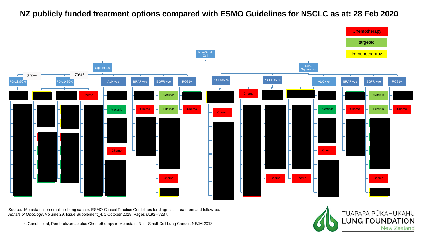## **NZ publicly funded treatment options compared with ESMO Guidelines for NSCLC as at: 28 Feb 2020**



Source: Metastatic non-small cell lung cancer: ESMO Clinical Practice Guidelines for diagnosis, treatment and follow-up, *Annals of Oncology*, Volume 29, Issue Supplement\_4, 1 October 2018, Pages iv192–iv237.

1. Gandhi et al, Pembrolizumab plus Chemotherapy in Metastatic Non–Small-Cell Lung Cancer, NEJM 2018

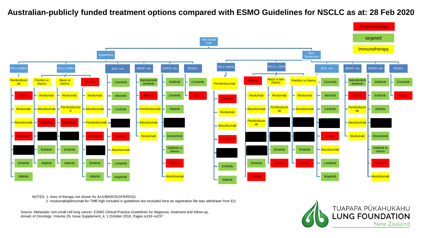**Australian-publicly funded treatment options compared with ESMO Guidelines for NSCLC as at: 28 Feb 2020**



NOTES: 1. lines of therapy not shown for ALK/BRAF/EGFR/ROS1

2. nivolumab/ipilimumab for TMB high included in guidelines but excluded here as registration file was withdrawn from EU

Source: Metastatic non-small cell lung cancer: ESMO Clinical Practice Guidelines for diagnosis, treatment and follow-up, *Annals of Oncology*, Volume 29, Issue Supplement\_4, 1 October 2018, Pages iv192–iv237

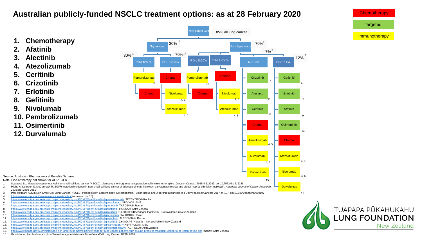# **Australian publicly-funded NSCLC treatment options: as at 28 February 2020**



**Chemotherapy** 

New Zealand

- 13. <https://www.ebs.tga.gov.au/ebs/picmi/picmirepository.nsf/PICMI?OpenForm&t=&q=Keytruda&r=/> KEYTRUDA® MSD 14. <https://www.ebs.tga.gov.au/ebs/picmi/picmirepository.nsf/PICMI?OpenForm&t=&q=osimertinib&r=/>TAGRISSO® Astra Zeneca
- 15. <https://www.health.gov.au/ministers/the-hon-greg-hunt-mp/media/new-hope-for-lung-cancer-patients-with-ground-breaking-treatment-option-to-be-listed-on-the-pbs> Imfinzi® Astra Zeneca
- 16. Gandhi et al, Pembrolizumab plus Chemotherapy in Metastatic Non–Small-Cell Lung Cancer, NEJM 2018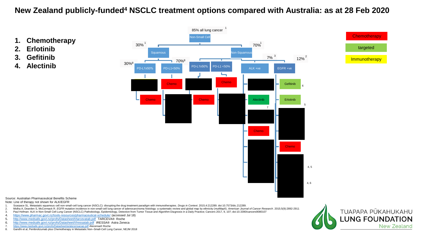## **New Zealand publicly-funded<sup>4</sup> NSCLC treatment options compared with Australia: as at 28 Feb 2020**



**LUNG FOUNDATION** 

**New Zealand** 

- 2. Midha A, Dearden S, McCormack R. EGFR mutation incidence in non-small-cell lung cancer of adenocarcinoma histology: a systematic review and global map by ethnicity (mutMapII). American Journal of Cancer Research. 2015;5 Paul Hofman: ALK in Non-Small Cell Lung Cancer (NSCLC) Pathobiology, Epidemiology, Detection from Tumor Tissue and Algorithm Diagnosis in a Daily Practice; Cancers 2017, 9, 107; doi:10.3390/cancers9080107
- 4. <https://www.pharmac.govt.nz/tools-resources/pharmaceutical-schedule/> (accessed Jul 18)
- 5. <http://www.medsafe.govt.nz/profs/Datasheet/t/tarcevatab.pdf> TARCEVA® Roche
- 6. <http://www.medsafe.govt.nz/profs/Datasheet/I/Iressatab.pdf> IRESSA® Astra Zeneca
- 7. <https://www.medsafe.govt.nz/profs/Datasheet/a/alecensacap.pdf> Alecensa® Roche

**2. Erlotinib 3. Gefitinib 4. Alectinib**

8. Gandhi et al, Pembrolizumab plus Chemotherapy in Metastatic Non–Small-Cell Lung Cancer, NEJM 2018